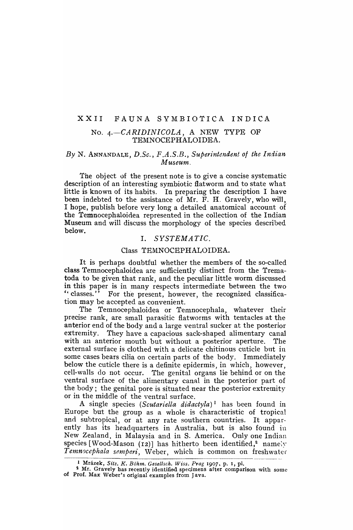### XXII FAUNA SYMBIOTICA INDICA

# No. *4.-CARIDINICOLA,* A NEW TYPE OF TEMNOCEPHALOIDEA.

## *By* N. ANNANDALE, *D.Se., F.A.S.B., Superintendent of the Indian Museum.*

The object of the present note is to give a concise systematic description of an interesting symbiotic flatworm and to state what little is known of its habits. In preparing the description I have been indebted to the assistance of Mr. F. H. Gravely, who will, I hope, publish before very long a detailed anatomical account of the Temnocephaloidea represented in the collection of the Indian Museum and will discuss the morphology of the species described below.

# I. SYSTEMATIC.

### Class TEMNOCEPHALOIDEA.

It is perhaps doubtful whether the members of the so-called class Temnocephaloidea are sufficiently distinct from the Trematoda to be given that rank, and the peculiar little worm discussed in this paper is in many respects intermediate between the two " classes." For the present, however, the recognized classification may be accepted as convenient.

The Temnocephaloidea or Temnocephala, whatever their precise rank, are small parasitic flatworms with tentacles at the anterior end of the body and a large ventral sucker at the posterior extremity. They have a capacious sack-shaped alimentary canal with an anterior mouth but without a posterior aperture. The external surface is clothed with a delicate chitinous cuticle but in some cases bears cilia on certain parts of the body. Immediately below the cuticle there is a definite epidermis, in which, however, cell-walls do not occur. The genital organs lie behind or on the ventral surface of the alimentary canal in the posterior part of the body; the genital pore is situated near the posterior extremity or in the middle of the ventral surface.

A single species *(Scutariella didaetyla)* I has been found in Europe but the group as a whole is characteristic of tropical and subtropical, or at any rate southern countries. It apparently has its headquarters in Australia, but is also found in New Zealand, in Malaysia and in S. America. Only one Indian species [Wood-Mason (12)] has hitherto been identified,<sup>2</sup> namely. Temnocephala semperi, Weber, which is common on freshwater

<sup>1</sup> Mrazek, *Sitz. K. B6hm. Gesellsch. Wiss. Prag* 1907, p. I, pI.

<sup>&</sup>lt;sup>2</sup> Mr. Gravely has recently identified specimens after comparison with some of Prof. Max Weber's original examples from Java.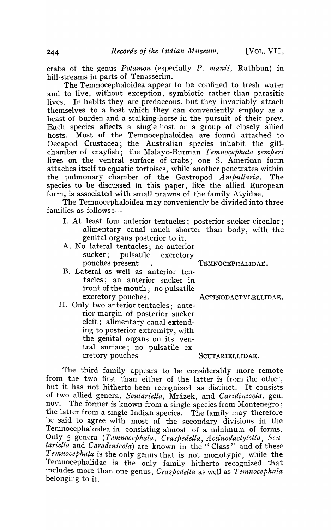crabs of the genus *Potamon* (especially *P. manii*, Rathbun) in hill-streams in parts *oi* Tenasserim.

The Temnocephaloidea appear to be confined to fresh water and to live, without exception, symbiotic rather than parasitic lives. In habits they are predaceous, but they invariably attach themselves to a host which they can conveniently employ as a beast of burden and a stalking-horse in the pursuit of their prey. Each species affects a single host or a group of closely allied hosts. Most of the Temnocephaloidea are found attached to Decapod Crustacea; the Australian species inhabit the gillchamber of crayfish; the Malayo-Burman *Temnocephala semperi* lives on the ventral surface of crabs; one S. American form attaches itself to equatic tortoises, while another penetrates within the pulmonary chamber of the Gastropod *Ampullaria.* The species to be discussed in this paper, like the allied European form, is associated with small prawns of the family Atyidae.

The Temnocephaloidea may conveniently be divided into three families as follows:—

- I. At least four anterior tentacles; posterior sucker circular; alimentary canal much shorter than body, with the genital organs posterior to it.
- A. No lateral tentacles; no anterior sucker; pulsatile excretory pouches present . TEMNOCEPHALIDAE.
- B. Lateral as well as anterior tentacles; an anterior sucker in front of the mouth; no pulsatile excretory pouches. ACTINODACTYLELLIDAE.
- II. Only two anterior tentacles; anterior margin of posterior sucker cleft; alimentary canal extending to posterior extremity, with the genital organs on its ventral surface; no pulsatile excretory pouches SCUTARIELLIDAE.

The third family appears to be considerably more remote from the two first than either of the latter is from the other, but it has not hitherto been recognized as distinct. It consists of two allied genera, *Scutariella,* Mrazek, and *Caridinicola,* gen. nov. The former is known from a single species from Montenegro; the latter from a single Indian species. The family may therefore be said to agree with most of the secondary divisions in the Temnocephaloidea in consisting almost of a minimum of forms. Only 5 genera (Temnocephala, Craspedella, Actinodactylella, Scu*tariella* and *Caradinicola)* are known in the " Class" and of these *Temnocephala* is the only genus that is not monotypic, while the Temnocephalidae is the only family hitherto recognized that includes more than one genus, *Craspedella* as well as *Temnocephala* belonging to it.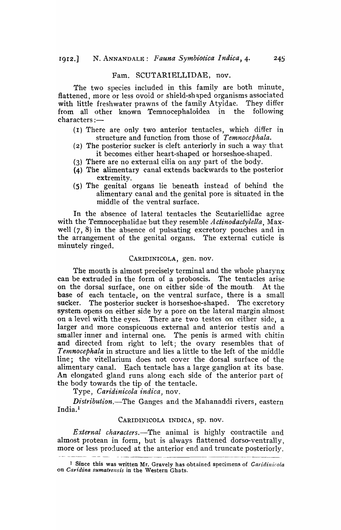#### Fam. SCUTARIELLIDAE, nov.

The two species included in this family are both minute, flattened, more or less ovoid or shield-shaped organisms associated with little freshwater prawns of the family Atyidae. They differ from all other known Temnocephaloidea in the following characters :-

- (I) There are only two anterior tentacles, which differ in structure and function from those of *Temnocephala.*
- (2) The posterior sucker is cleft anteriorly in such a way that it becomes either heart-shaped or horseshoe-shaped.
- $(3)$  There are no external cilia on any part of the body.
- (4) The alimentary canal extends backwards to the posterior extremity.
- (5) The genitai organs lie beneath instead of behind the alimentary canal and the genital pore is situated in the middle of the ventral surface.

In the absence of lateral tentacles the Scutariellidae agree with the Temnocephalidae but they resemble *Actinodactylella,* Maxwell  $(7, 8)$  in the absence of pulsating excretory pouches and in the arrangement of the genital organs. The external cuticle is minutely ringed.

## CARIDINICOLA, gen. nov.

The mouth is almost precisely terminal and the whole pharynx can be extruded in the form of a proboscis. The tentacles arise on the dorsal surface, one on either side' of the mouth. At the base of each tentacle, on the ventral surface, there is a small sucker. The posterior sucker is horseshoe-shaped. The excretory system. opens on either side by a pore on the lateral margin almost on a level with the eyes. There are two testes on either side, a larger and more conspicuous external and anterior testis and a smaller inner and internal one. The penis is armed with chitin The penis is armed with chitin and directed from right to left; the ovary resembles that of *Temnocephala* in structure and lies a little to the left of the middle line; the vitellarium does not cover the dorsal surface of the alimentary canal. Each tentacle has a large ganglion at its base. An elongated gland runs along each side of the anterior part of the body towards the tip of the tentacle.

Type, C *aridinicola indica,* nov.

*Distribution.*—The Ganges and the Mahanaddi rivers, eastern India.<sup>1</sup>

#### CARIDINICOLA INDICA, sp. nov.

*External characters.-The* animal is highly contractile and almost protean in form, but is always flattened dorso-ventrally, more or less produced at the anterior end and truncate posteriorly.

<sup>1</sup> Since this was written Mr. Gravely has obtained specimens of *Caridinicola*  on *Caridina sumatrensis* in the Western Ghats.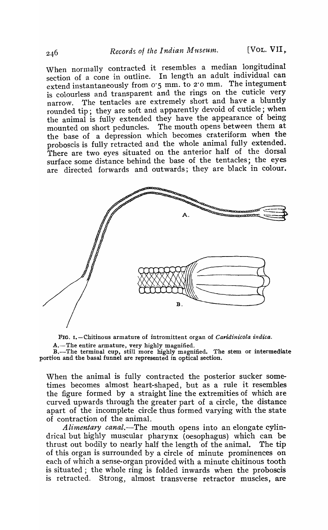When normally contracted it resembles a median longitudinal section of a cone in outline. In length an adult individual can extend instantaneously from 0.5 mm. to 2.0 mm. The integument is colourless and transparent and the rings on the cuticle very narrow. The tentacles are extremely short and have a bluntly rounded tip; they are soft and apparently devoid of cuticle; when the animal is fully extended they have the appearance of being mounted on short peduncles. The mouth opens between them at the base of a depression which becomes crateriform when the proboscis is fully retracted and the whole animal fully extended. There are two eyes situated on the anterior half of the dorsal surface some distance behind the base of the tentacles; the eyesare directed forwards and outwards; they are black in colour.



FIG. I. -Chitinous armature of intromittent organ of *Cayidinicola indica.* 

A.-The entire armature, very highly magnified.<br>B.-The terminal cup, still more highly magnified. The stem or intermediate portion and the basal funnel are represented in optical section.

When the animal is fully contracted the posterior sucker sometimes becomes almost heart-shaped, but as a rule it resembles the figure formed by a straight line the extremities of which are curved upwards through the greater part of a circle, the distance apart of the incomplete circle thus formed varying with the state of contraction of the animal.

*Alimentary canal.-The* mouth opens into an elongate cylindrical but highly muscular pharynx (oesophagus) which can be thrust out bodily to nearly half the length of the animal. The tip of this organ is surrounded by a circle of minute prominences on each of which a sense-organ provided with a minute chitinous tooth is situated; the whole ring is folded inwards when the proboscis is retracted. Strong, almost transverse retractor muscles, are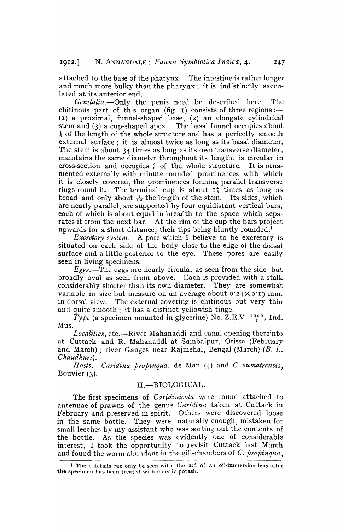attached to the base of the pharynx. The intestine is rather longer and much more bulky than the pharynx; it is indistinctly sacculated at its anterior end.

*Genitalia.-Only* the penis need be described here. The chitinous part of this organ (fig.  $r$ ) consists of three regions :-(I) a proximal, funnel-shaped base, (2) an elongate cylindrical stem and (3) a cup-shaped apex. The basal funnel occupies about  $\frac{1}{6}$  of the length of the whole structure and has a perfectly smooth external surface; it is almost twice as long as its basal diameter. The stem is about 34 times as long as its own transverse diameter, maintains the same diameter throughout its length, is circular in cross-section and occupies  $\frac{5}{6}$  of the whole structure. It is ornamented externally with minute rounded prominences with which it is closely covered, the prominences forming parallel transverse rings round it. The terminal cup is about  $I_3^{\pm}$  times as long as broad and only about  $\frac{1}{10}$  the length of the stem. Its sides, which are nearly parallel, are supported by four equidistant vertical bars, each of which is about equal in breadth to the space which separates it from the next bar. At the rim of the cup the bars project upwards for a short distance, their tips being bluntly rounded.<sup>1</sup>

*Excretory system.*--A pore which I believe to be excretory is sitnated on each side of the body close to the edge of the dorsal surface and a little posterior to the eye. These pores are easily seen in living specimens.

*Eggs.-The* eggs are nearly circular as seen from the side but broadly oval as seen from above. Each is provided with a stalk considerably shorter than its own diameter. They are somewhat variable in size but measure on an average about  $0.24 \times 0.19$  mm. in dorsal view. The external covering is chitinous but very thin an:  $1$  quite smooth; it has a distinct yellowish tinge.

 $\bar{Ty}$ *pe* (a specimen mounted in glycerine) No. Z.E.V  $\frac{3060}{7}$ , Ind.  $M$ us.  $M$ 

*Localities, etc.*-River Mahanaddi and canal opening thereinto at Cuttack and R. Mahanaddi at Sambalpur, Orissa (February and March); river Ganges near Rajmehal, Bengal (March) (B. L. *Chaudhuri).* 

*Hosts.*-Caridina propingua, de Man (4) and C. sumatrensis, Bouvier (3).

## IT.-BIOLOGICAL.

The first specimens of *Caridinicola* were found attached to antennae of prawns of the genus *Caridina* taken at Cuttack in February and preserved in spirit. Others were discovered loose in the same bottle. They were, naturally enough, mistaken for small leeches by my assistant who was sorting out the contents of the bottle. As the species was evidently one of considerable interest, I took the opportunity to revisit Cuttack last. March and found the worm abundant in the gill-chambers of C. *propinqua*,

<sup>1</sup> These details can only be seen with the a:d of an oil-immersion lens after the specimen has been treated with caustic potash.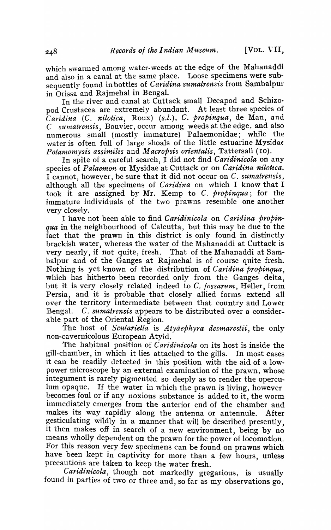which swarmed among water-weeds at the edge of the Mahanaddi and also in a canal at the same place. Loose specimens were subsequently found in bottles of *Caridina sumatrensis* from Sambalpur in Orissa and Rajmehal in Bengal.

In the river and canal at Cuttack small Decapod and Schizopod Crustacea are extremely abundant. At least three species of *Caridina (C. nilotica,* Roux) *(s.l.),* C. *propinqua)* de Man, and C *s'lHnatrensis,* Bouvier, occur among weeds at the edge, and also numerous small (mostly immature) Palaemonidae; while the water is often full of large shoals of the little estuarine Mysidae *Potamomysis assimilis and Macropsis orientalis, Tattersall (10).* 

In spite of a careful search, I did not find *Caridinicola* on any species of *Palaemon* or Mysidae at Cuttack or on *Caridina nilotica*. I cannot, however, be sure that it did not occur on C. *sumatrensis*, although all the specimens of *Caridina* on which I know that I took it are assigned by Mr. Kemp to C. *propinqua;* for the immature individuals of the two prawns resemble one another very closely.

I have not been able to find *Caridinicola* on *Caridina propinqua* in the neighbourhood of Calcutta, but this may be due to the fact that the prawn in this district is only found in distinctly brackish water, whereas the water of the Mahanaddi at Cuttack is very nearly, if not quite, fresh. That of the Mahanaddi at Sambalpur and of the Ganges at Rajmehal is of course quite fresh. Nothing is yet known of the distribution of *Caridina propingua*, which has hitherto been recorded only from the Ganges delta, but it is very closely related indeed to C. *fossarum*, Heller, from Persia, and it is probable that closely allied forms extend all over the territory intermediate between that country and Lo wer Bengal. C. *sumatrensis* appears to be distributed over a considerable part of the Oriental Region.

'fhe host of *Scutariella* is *A tyaephyra desmarestii,* the only non-cavernicolous European Atyid.

The habitual position of *Caridinicola* on its host is inside the gill-chamber, in which it lies attached to the gills. In most cases it can be readily detected in this position \vith the aid of a lowpower microscope by an external examination of the prawn, whose integument is rarely pigmented so deeply as to render the operculum opaque. If the water in which the prawn is living, however becomes foul or if any noxious substance is added to it, the worm immediately emerges from the anterior end of the chamber and makes its way rapidly along the antenna or antennule. After gesticulating wildly in a manner that will be described presently it then makes off in search of a new environment, being by no means wholly dependent on the prawn for the power of locomotion. For this reason very few specimens can be found on prawns which have been kept in captivity for more than a few hours, unless precautions are taken to keep the water fresh.

Caridinicola, though not markedly gregarious, is usually found in parties of two or three and, so far as my observations go,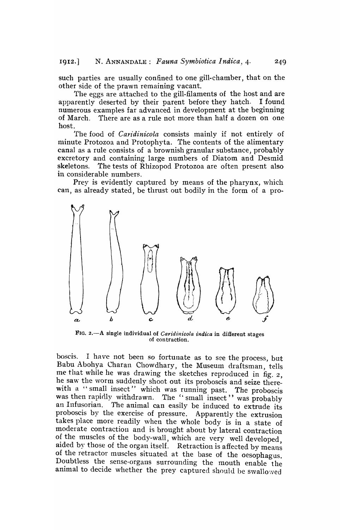such parties are usually confined to one gill-chamber, that on the other side of the prawn remaining vacant.

The eggs are attached to the gill-filaments of the host and are apparently deserted by their parent before they hatch. I found numerous examples far advanced in development at the beginning of March. There are as a rule not more than half a dozen on one host.

The food of *Caridinicola* consists mainly if hot entirely of minute Protozoa and Protophyta. The contents of the alimentary canal as a rule consists of a brownish granular substance, probably excretory and containing large numbers of Diatom and Desmid skeletons. The tests of Rhizopod Protozoa are often present also in considerable numbers.

Prey is evidently captured by means of the pharynx, which can, as already stated, be thrust out bodily in the form of a pro-



FIG. 2.-A single individual of *Caridinicola indica* in different stages of contraction.

boscis. I have not been so fortunate as to see the process, but Babu Abohya Charan Chowdhary, the Museum draftsman, tells me that while he was drawing the sketches reproduced in fig.  $z$ , he saw the worm suddenly shoot out its proboscis and seize therewith a "small insect" which was running past. The proboscis was then rapidly withdrawn. The "small insect" was probably an Infusorian. The animal can easily be induced to extrude its proboscis by the exercise of pressure. Apparently the extrusion takes place more readily when the whole body is in a state of moderate contraction and is brought about by lateral contraction of the muscles of the body-wall, which are very well developed, aided by those of the organ itself. Retraction is affected by means of the retractor muscles situated at the base of the oesophagus. Doubtless the sense-organs surrounding the mouth enable the animal to decide whether the prey captured should be swallowed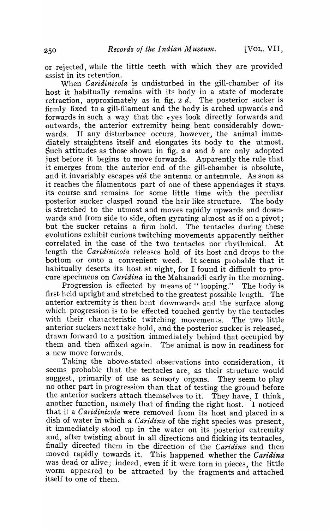or rejected, while the little teeth with which they are provided assist in its retention.

When *Caridinicola* is undisturbed in the gill-chamber of its host it habitually remains with its body in a state of moderate retraction, approximately as in fig.  $2 d$ . The posterior sucker is firmly fixed to a gill-filament and the body is arched upwards and forwards in such a way that the  $\epsilon$ yes look directly forwards and outwards, the anterior extremity being bent considerably downwards. If any disturbance occurs, however, the animal immediately straightens itself and elongates its body to the utmost. Such attitudes as those shown in fig. 2a and b are only adopted just before it begins to move forwards. Apparently the rule that it emerges from the anterior end of the gill-chamber is absolute, and it invariably escapes *via* the antenna or antennule. As soon as it reaches the filamentous part of one of these appendages it stays. its course and remains for some little time with the peculiar posterior sucker clasped round the hair like structure. The body posterior sucker clasped round the hair like structure. is stretched to the utmost and moves rapidly upwards and downwards and from side to side, often gyrating almost as if on a pivot; but the sucker retains a firm hold. The tentacles during these evolutions exhibit curious twitching movements apparently neither correlated in the case of the two tentacles nor rhythmical. At length the *Caridinicola* releases hold of its host and drops to the bottom or onto a convenient weed. It seems probable that it habitually deserts its host at night, for I found it difficult to procure specimens on *Caridina* in the Mahanaddi early in the morning.

Progression is effected by means of "looping." The body is first held upright and stretched to the greatest possible length. The anterior extremity is then bent downwards and the surface along which progression is to be effected touched gently by the tentacles with their chat acteristic twitching movements. The two little anterior suckers next take hold, and the posterior sucker is released, drawn forward to a position immediately behind that occupied by them and then affixed again. The animal is now in readiness for a new move forwards.

Taking the above-stated observations into consideration, it seems probable that the tentacles are, as their structure would suggest, primarily of use as sensory organs. They seem to play no other part in progression than that of testing the ground before the anterior suckers attach themselves to it. They have, I think, another function, namely that of finding the right host. I noticed that if a *Caridinicola* were removed from its host and placed in a dish of water in which a *Caridina* of the right species was present, it immediately stood up in the water on its posterior extremity and, after twisting about in all directions and flicking its tentacles, finally directed them in the direction of the *Caridina* and then moved rapidly towards it. This happened whether the *Caridina*  was dead or alive; indeed, even if it were torn in pieces, the little worm appeared to be attracted by the fragments and attached itself to one of them.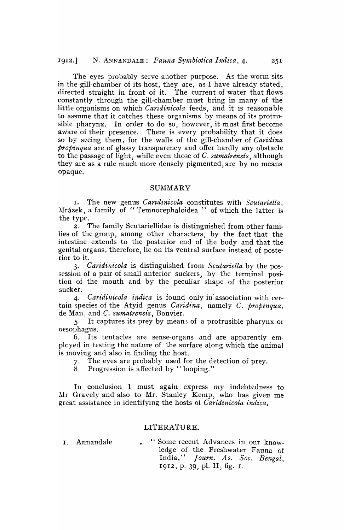The eyes probably serve another purpose. As the worm sits in the gill-chamber of its host, they are, as I have already stated, directed straight in front of it. The current of water that flows constantly through the gill-chamber must bring in many of the little organisms on which *Caridinicola* feeds, and it is reasonable to assume that it catches these organisms by means of its protrusible pharynx. In order to do so, however, it must first become aware of their presence. There is every probability that it does There is every probability that it does so by seeing them, for the walls of the gill-chamber of *Caridina propinqua* are of glassy transparency and offer hardly any obstacle to the passage of light, while even th03e of C. *sumatrensis)* although they are as a rule much more densely pigmented, are by no means opaque.

#### SUMMARY

1. The new genus *Candinicola* constitutes with *Scutariella,*  Mrázek, a family of "Temnocephaloidea " of which the latter is the type.

2. The famity Scutariellidae is distinguished from other families of the group, among other characters, by the fact that the intestine extends to the posterior end of the body and that the genital organs, therefore, lie on its ventral surface instead of posterior to it.

*3. Caridinicola* is distinguished from *Scutariella* by the possession of a pair of small anterior suckers, by the terminal position of the mouth and by the peculiar shape of the posterior sucker.

4. Caridinicola indica is found only in association with certain species of the Atyid genus *Caridina,* namely C. *propinqua,*  de Man, and C. *sumatrensis,* Bouvier.

5. It captures its.prey by mean3 of a protrusible pharynx or oesophagus.

6. Its tentacles are sense-organs and are apparently employed in testing the nature of the surface along which the animal is tnoving and also in finding the host.

7. The eyes are probably used for the detection of prey.

8. Progression is affected by "looping."

In conclusion I must again express my indebtedness to Mr Gravely and also to Mr. Stanley Kemp, who has given me great assistance in identifying the hosts of *Caridinicola indica*.

## LITERATURE.

I. Annandale

" Some recent Advances in our knowledge of the Freshwater Fauna of India," Journ. As. Soc. Beneal. Journ. As. Soc. Bengal, 1912, p. 39, pl. II, fig. 1.